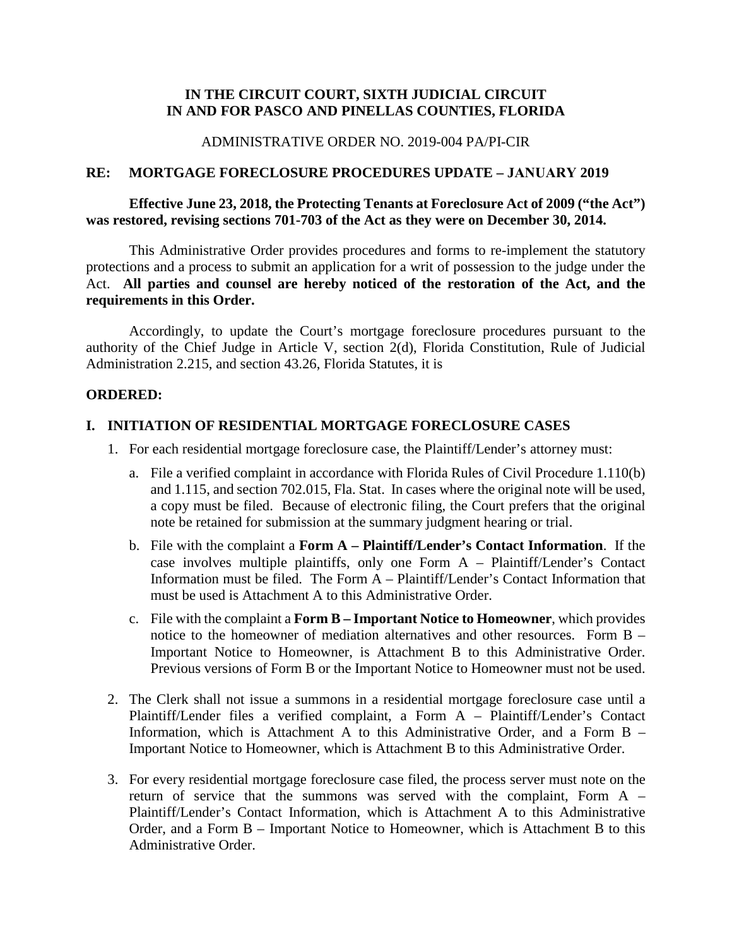## **IN THE CIRCUIT COURT, SIXTH JUDICIAL CIRCUIT IN AND FOR PASCO AND PINELLAS COUNTIES, FLORIDA**

### ADMINISTRATIVE ORDER NO. 2019-004 PA/PI-CIR

### **RE: MORTGAGE FORECLOSURE PROCEDURES UPDATE – JANUARY 2019**

## **Effective June 23, 2018, the Protecting Tenants at Foreclosure Act of 2009 ("the Act") was restored, revising sections 701-703 of the Act as they were on December 30, 2014.**

This Administrative Order provides procedures and forms to re-implement the statutory protections and a process to submit an application for a writ of possession to the judge under the Act. **All parties and counsel are hereby noticed of the restoration of the Act, and the requirements in this Order.** 

Accordingly, to update the Court's mortgage foreclosure procedures pursuant to the authority of the Chief Judge in Article V, section 2(d), Florida Constitution, Rule of Judicial Administration 2.215, and section 43.26, Florida Statutes, it is

### **ORDERED:**

### **I. INITIATION OF RESIDENTIAL MORTGAGE FORECLOSURE CASES**

- 1. For each residential mortgage foreclosure case, the Plaintiff/Lender's attorney must:
	- a. File a verified complaint in accordance with Florida Rules of Civil Procedure 1.110(b) and 1.115, and section 702.015, Fla. Stat. In cases where the original note will be used, a copy must be filed. Because of electronic filing, the Court prefers that the original note be retained for submission at the summary judgment hearing or trial.
	- b. File with the complaint a **Form A Plaintiff/Lender's Contact Information**. If the case involves multiple plaintiffs, only one Form A – Plaintiff/Lender's Contact Information must be filed. The Form A – Plaintiff/Lender's Contact Information that must be used is Attachment A to this Administrative Order.
	- c. File with the complaint a **Form B Important Notice to Homeowner**, which provides notice to the homeowner of mediation alternatives and other resources. Form B – Important Notice to Homeowner, is Attachment B to this Administrative Order. Previous versions of Form B or the Important Notice to Homeowner must not be used.
- 2. The Clerk shall not issue a summons in a residential mortgage foreclosure case until a Plaintiff/Lender files a verified complaint, a Form A – Plaintiff/Lender's Contact Information, which is Attachment A to this Administrative Order, and a Form B – Important Notice to Homeowner, which is Attachment B to this Administrative Order.
- 3. For every residential mortgage foreclosure case filed, the process server must note on the return of service that the summons was served with the complaint. Form  $A -$ Plaintiff/Lender's Contact Information, which is Attachment A to this Administrative Order, and a Form B – Important Notice to Homeowner, which is Attachment B to this Administrative Order.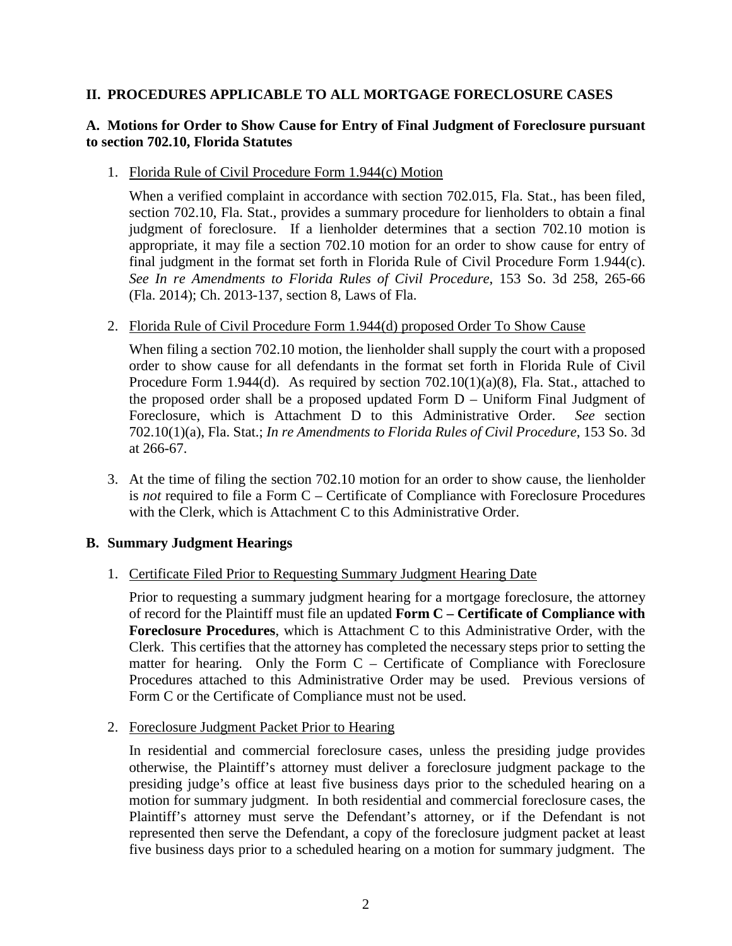# **II. PROCEDURES APPLICABLE TO ALL MORTGAGE FORECLOSURE CASES**

# **A. Motions for Order to Show Cause for Entry of Final Judgment of Foreclosure pursuant to section 702.10, Florida Statutes**

1. Florida Rule of Civil Procedure Form 1.944(c) Motion

When a verified complaint in accordance with section 702.015, Fla. Stat., has been filed, section 702.10, Fla. Stat., provides a summary procedure for lienholders to obtain a final judgment of foreclosure. If a lienholder determines that a section 702.10 motion is appropriate, it may file a section 702.10 motion for an order to show cause for entry of final judgment in the format set forth in Florida Rule of Civil Procedure Form 1.944(c). *See In re Amendments to Florida Rules of Civil Procedure*, 153 So. 3d 258, 265-66 (Fla. 2014); Ch. 2013-137, section 8, Laws of Fla.

## 2. Florida Rule of Civil Procedure Form 1.944(d) proposed Order To Show Cause

When filing a section 702.10 motion, the lienholder shall supply the court with a proposed order to show cause for all defendants in the format set forth in Florida Rule of Civil Procedure Form 1.944(d). As required by section 702.10(1)(a)(8), Fla. Stat., attached to the proposed order shall be a proposed updated Form  $D -$  Uniform Final Judgment of Foreclosure, which is Attachment D to this Administrative Order. *See* section 702.10(1)(a), Fla. Stat.; *In re Amendments to Florida Rules of Civil Procedure*, 153 So. 3d at 266-67.

3. At the time of filing the section 702.10 motion for an order to show cause, the lienholder is *not* required to file a Form C – Certificate of Compliance with Foreclosure Procedures with the Clerk, which is Attachment C to this Administrative Order.

# **B. Summary Judgment Hearings**

# 1. Certificate Filed Prior to Requesting Summary Judgment Hearing Date

Prior to requesting a summary judgment hearing for a mortgage foreclosure, the attorney of record for the Plaintiff must file an updated **Form C – Certificate of Compliance with Foreclosure Procedures**, which is Attachment C to this Administrative Order, with the Clerk. This certifies that the attorney has completed the necessary steps prior to setting the matter for hearing. Only the Form  $C -$  Certificate of Compliance with Foreclosure Procedures attached to this Administrative Order may be used. Previous versions of Form C or the Certificate of Compliance must not be used.

2. Foreclosure Judgment Packet Prior to Hearing

In residential and commercial foreclosure cases, unless the presiding judge provides otherwise, the Plaintiff's attorney must deliver a foreclosure judgment package to the presiding judge's office at least five business days prior to the scheduled hearing on a motion for summary judgment. In both residential and commercial foreclosure cases, the Plaintiff's attorney must serve the Defendant's attorney, or if the Defendant is not represented then serve the Defendant, a copy of the foreclosure judgment packet at least five business days prior to a scheduled hearing on a motion for summary judgment. The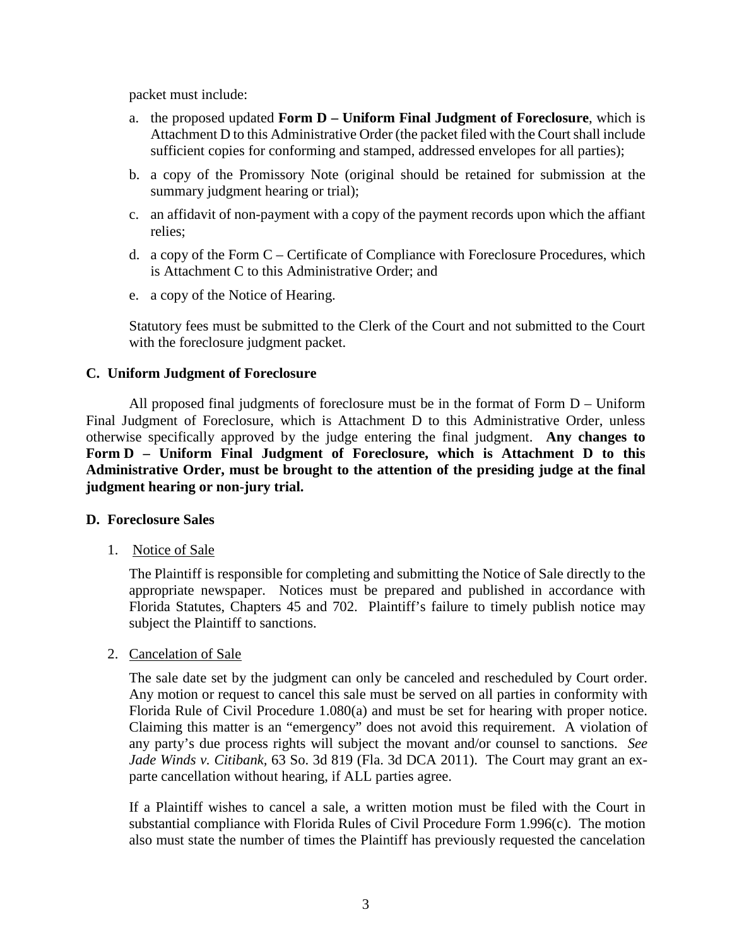packet must include:

- a. the proposed updated **Form D Uniform Final Judgment of Foreclosure**, which is Attachment D to this Administrative Order (the packet filed with the Court shall include sufficient copies for conforming and stamped, addressed envelopes for all parties);
- b. a copy of the Promissory Note (original should be retained for submission at the summary judgment hearing or trial);
- c. an affidavit of non-payment with a copy of the payment records upon which the affiant relies;
- d. a copy of the Form  $C$  Certificate of Compliance with Foreclosure Procedures, which is Attachment C to this Administrative Order; and
- e. a copy of the Notice of Hearing.

Statutory fees must be submitted to the Clerk of the Court and not submitted to the Court with the foreclosure judgment packet.

## **C. Uniform Judgment of Foreclosure**

All proposed final judgments of foreclosure must be in the format of Form D – Uniform Final Judgment of Foreclosure, which is Attachment D to this Administrative Order, unless otherwise specifically approved by the judge entering the final judgment. **Any changes to Form D – Uniform Final Judgment of Foreclosure, which is Attachment D to this Administrative Order, must be brought to the attention of the presiding judge at the final judgment hearing or non-jury trial.** 

## **D. Foreclosure Sales**

1. Notice of Sale

The Plaintiff is responsible for completing and submitting the Notice of Sale directly to the appropriate newspaper. Notices must be prepared and published in accordance with Florida Statutes, Chapters 45 and 702. Plaintiff's failure to timely publish notice may subject the Plaintiff to sanctions.

## 2. Cancelation of Sale

The sale date set by the judgment can only be canceled and rescheduled by Court order. Any motion or request to cancel this sale must be served on all parties in conformity with Florida Rule of Civil Procedure 1.080(a) and must be set for hearing with proper notice. Claiming this matter is an "emergency" does not avoid this requirement. A violation of any party's due process rights will subject the movant and/or counsel to sanctions. *See Jade Winds v. Citibank,* 63 So. 3d 819 (Fla. 3d DCA 2011). The Court may grant an exparte cancellation without hearing, if ALL parties agree.

If a Plaintiff wishes to cancel a sale, a written motion must be filed with the Court in substantial compliance with Florida Rules of Civil Procedure Form 1.996(c). The motion also must state the number of times the Plaintiff has previously requested the cancelation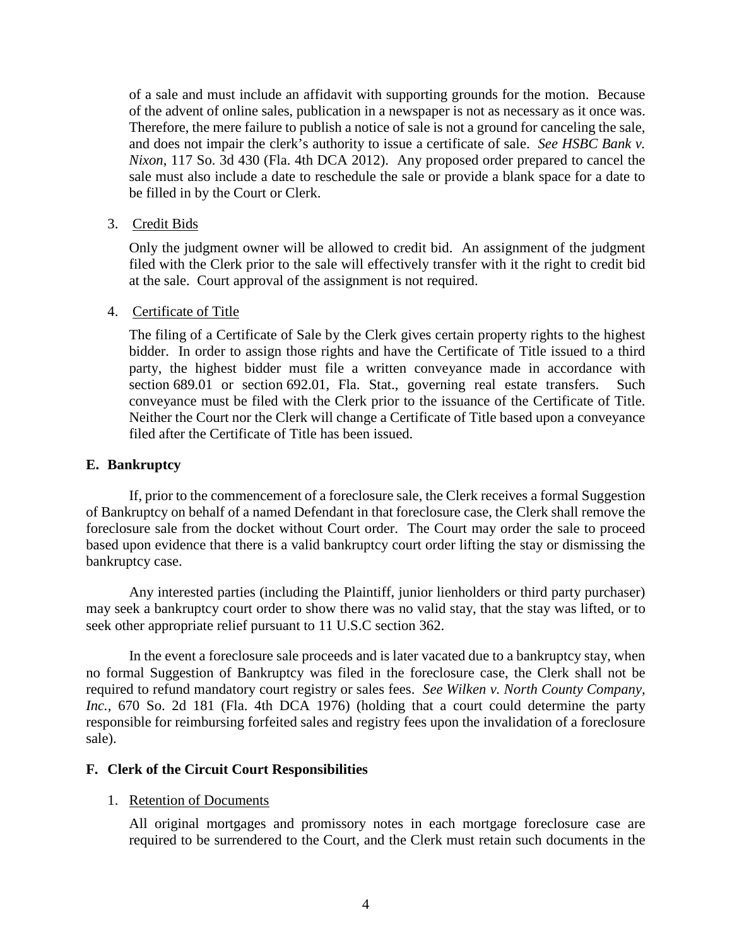of a sale and must include an affidavit with supporting grounds for the motion. Because of the advent of online sales, publication in a newspaper is not as necessary as it once was. Therefore, the mere failure to publish a notice of sale is not a ground for canceling the sale, and does not impair the clerk's authority to issue a certificate of sale. *See HSBC Bank v. Nixon*, 117 So. 3d 430 (Fla. 4th DCA 2012). Any proposed order prepared to cancel the sale must also include a date to reschedule the sale or provide a blank space for a date to be filled in by the Court or Clerk.

3. Credit Bids

Only the judgment owner will be allowed to credit bid. An assignment of the judgment filed with the Clerk prior to the sale will effectively transfer with it the right to credit bid at the sale. Court approval of the assignment is not required.

### 4. Certificate of Title

The filing of a Certificate of Sale by the Clerk gives certain property rights to the highest bidder. In order to assign those rights and have the Certificate of Title issued to a third party, the highest bidder must file a written conveyance made in accordance with section 689.01 or section 692.01, Fla. Stat., governing real estate transfers. Such conveyance must be filed with the Clerk prior to the issuance of the Certificate of Title. Neither the Court nor the Clerk will change a Certificate of Title based upon a conveyance filed after the Certificate of Title has been issued.

### **E. Bankruptcy**

If, prior to the commencement of a foreclosure sale, the Clerk receives a formal Suggestion of Bankruptcy on behalf of a named Defendant in that foreclosure case, the Clerk shall remove the foreclosure sale from the docket without Court order. The Court may order the sale to proceed based upon evidence that there is a valid bankruptcy court order lifting the stay or dismissing the bankruptcy case.

Any interested parties (including the Plaintiff, junior lienholders or third party purchaser) may seek a bankruptcy court order to show there was no valid stay, that the stay was lifted, or to seek other appropriate relief pursuant to 11 U.S.C section 362.

In the event a foreclosure sale proceeds and is later vacated due to a bankruptcy stay, when no formal Suggestion of Bankruptcy was filed in the foreclosure case, the Clerk shall not be required to refund mandatory court registry or sales fees. *See Wilken v. North County Company, Inc.,* 670 So. 2d 181 (Fla. 4th DCA 1976) (holding that a court could determine the party responsible for reimbursing forfeited sales and registry fees upon the invalidation of a foreclosure sale).

## **F. Clerk of the Circuit Court Responsibilities**

### 1. Retention of Documents

All original mortgages and promissory notes in each mortgage foreclosure case are required to be surrendered to the Court, and the Clerk must retain such documents in the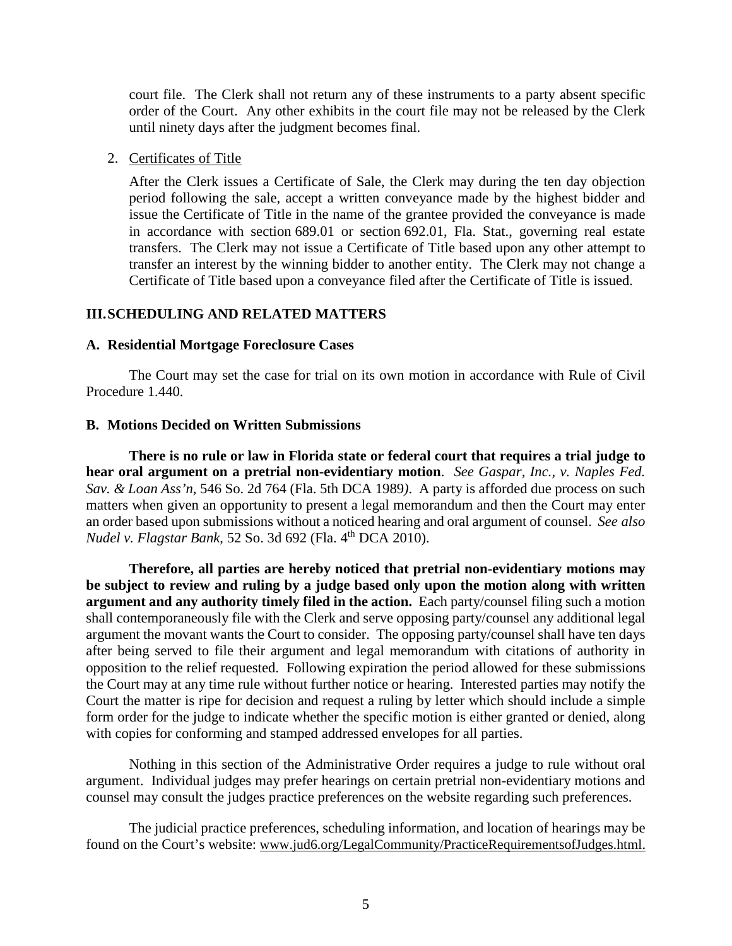court file. The Clerk shall not return any of these instruments to a party absent specific order of the Court. Any other exhibits in the court file may not be released by the Clerk until ninety days after the judgment becomes final.

### 2. Certificates of Title

 transfer an interest by the winning bidder to another entity. The Clerk may not change a After the Clerk issues a Certificate of Sale, the Clerk may during the ten day objection period following the sale, accept a written conveyance made by the highest bidder and issue the Certificate of Title in the name of the grantee provided the conveyance is made in accordance with section 689.01 or section 692.01, Fla. Stat., governing real estate transfers. The Clerk may not issue a Certificate of Title based upon any other attempt to Certificate of Title based upon a conveyance filed after the Certificate of Title is issued.

## **III.SCHEDULING AND RELATED MATTERS**

### **A. Residential Mortgage Foreclosure Cases**

The Court may set the case for trial on its own motion in accordance with Rule of Civil Procedure 1.440.

## **B. Motions Decided on Written Submissions**

 **hear oral argument on a pretrial non-evidentiary motion**. *See Gaspar, Inc., v. Naples Fed.*  an order based upon submissions without a noticed hearing and oral argument of counsel. *See also Nudel v. Flagstar Bank*, 52 So. 3d 692 (Fla. 4th DCA 2010). **There is no rule or law in Florida state or federal court that requires a trial judge to**  *Sav. & Loan Ass'n,* 546 So. 2d 764 (Fla. 5th DCA 1989*)*. A party is afforded due process on such matters when given an opportunity to present a legal memorandum and then the Court may enter

 **Therefore, all parties are hereby noticed that pretrial non-evidentiary motions may argument and any authority timely filed in the action.** Each party/counsel filing such a motion the Court may at any time rule without further notice or hearing. Interested parties may notify the Court the matter is ripe for decision and request a ruling by letter which should include a simple **be subject to review and ruling by a judge based only upon the motion along with written**  shall contemporaneously file with the Clerk and serve opposing party/counsel any additional legal argument the movant wants the Court to consider. The opposing party/counsel shall have ten days after being served to file their argument and legal memorandum with citations of authority in opposition to the relief requested. Following expiration the period allowed for these submissions form order for the judge to indicate whether the specific motion is either granted or denied, along with copies for conforming and stamped addressed envelopes for all parties.

 argument. Individual judges may prefer hearings on certain pretrial non-evidentiary motions and counsel may consult the judges practice preferences on the website regarding such preferences. Nothing in this section of the Administrative Order requires a judge to rule without oral

The judicial practice preferences, scheduling information, and location of hearings may be found on the Court's website: www.jud6.org/LegalCommunity/PracticeRequirementsofJudges.html.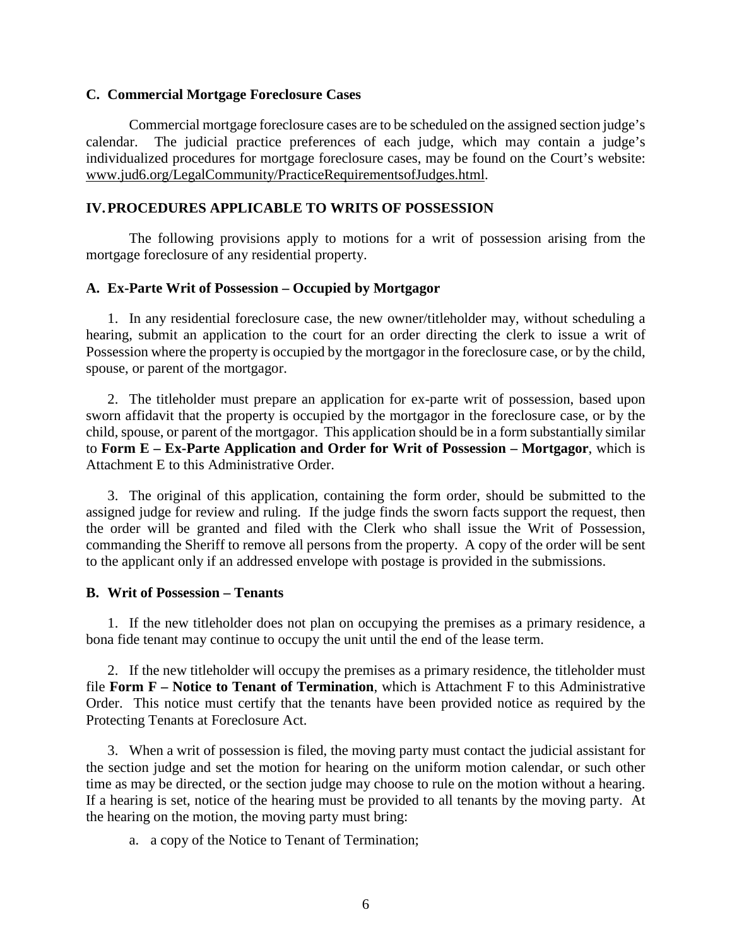#### **C. Commercial Mortgage Foreclosure Cases**

Commercial mortgage foreclosure cases are to be scheduled on the assigned section judge's calendar. The judicial practice preferences of each judge, which may contain a judge's individualized procedures for mortgage foreclosure cases, may be found on the Court's website: www.jud6.org/LegalCommunity/PracticeRequirementsofJudges.html.

### **IV. PROCEDURES APPLICABLE TO WRITS OF POSSESSION**

The following provisions apply to motions for a writ of possession arising from the mortgage foreclosure of any residential property.

### **A. Ex-Parte Writ of Possession – Occupied by Mortgagor**

1. In any residential foreclosure case, the new owner/titleholder may, without scheduling a hearing, submit an application to the court for an order directing the clerk to issue a writ of Possession where the property is occupied by the mortgagor in the foreclosure case, or by the child, spouse, or parent of the mortgagor.

2. The titleholder must prepare an application for ex-parte writ of possession, based upon sworn affidavit that the property is occupied by the mortgagor in the foreclosure case, or by the child, spouse, or parent of the mortgagor. This application should be in a form substantially similar to **Form E – Ex-Parte Application and Order for Writ of Possession – Mortgagor**, which is Attachment E to this Administrative Order.

3. The original of this application, containing the form order, should be submitted to the assigned judge for review and ruling. If the judge finds the sworn facts support the request, then the order will be granted and filed with the Clerk who shall issue the Writ of Possession, commanding the Sheriff to remove all persons from the property. A copy of the order will be sent to the applicant only if an addressed envelope with postage is provided in the submissions.

### **B. Writ of Possession – Tenants**

1. If the new titleholder does not plan on occupying the premises as a primary residence, a bona fide tenant may continue to occupy the unit until the end of the lease term.

2. If the new titleholder will occupy the premises as a primary residence, the titleholder must file **Form F – Notice to Tenant of Termination**, which is Attachment F to this Administrative Order. This notice must certify that the tenants have been provided notice as required by the Protecting Tenants at Foreclosure Act.

3. When a writ of possession is filed, the moving party must contact the judicial assistant for the section judge and set the motion for hearing on the uniform motion calendar, or such other time as may be directed, or the section judge may choose to rule on the motion without a hearing. If a hearing is set, notice of the hearing must be provided to all tenants by the moving party. At the hearing on the motion, the moving party must bring:

a. a copy of the Notice to Tenant of Termination;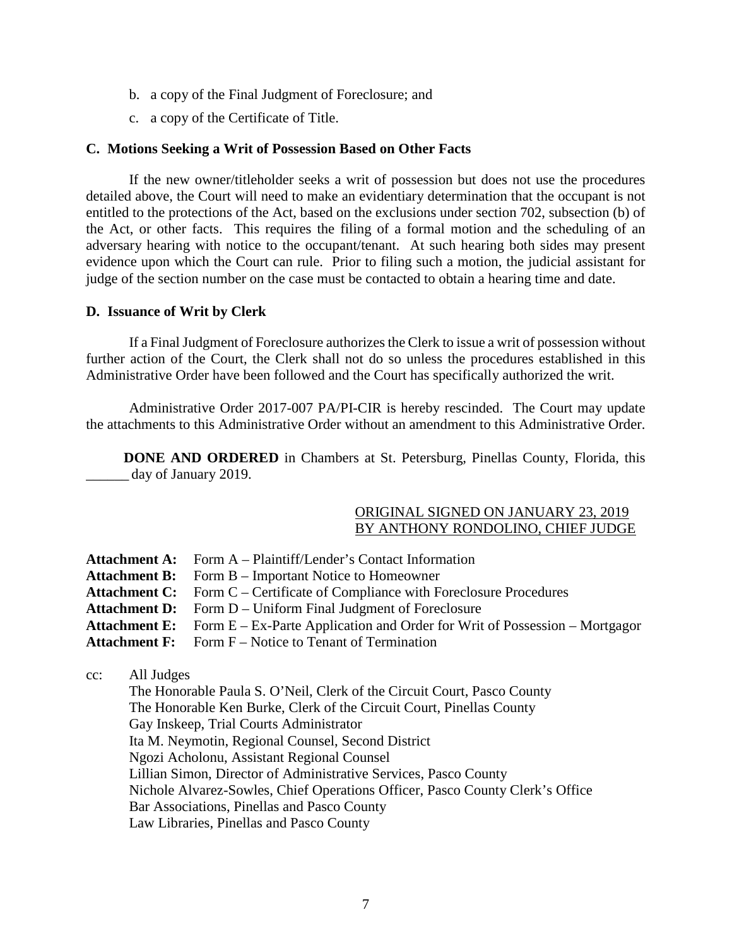- b. a copy of the Final Judgment of Foreclosure; and
- c. a copy of the Certificate of Title.

### **C. Motions Seeking a Writ of Possession Based on Other Facts**

If the new owner/titleholder seeks a writ of possession but does not use the procedures detailed above, the Court will need to make an evidentiary determination that the occupant is not entitled to the protections of the Act, based on the exclusions under section 702, subsection (b) of the Act, or other facts. This requires the filing of a formal motion and the scheduling of an adversary hearing with notice to the occupant/tenant. At such hearing both sides may present evidence upon which the Court can rule. Prior to filing such a motion, the judicial assistant for judge of the section number on the case must be contacted to obtain a hearing time and date.

#### **D. Issuance of Writ by Clerk**

If a Final Judgment of Foreclosure authorizes the Clerk to issue a writ of possession without further action of the Court, the Clerk shall not do so unless the procedures established in this Administrative Order have been followed and the Court has specifically authorized the writ.

Administrative Order 2017-007 PA/PI-CIR is hereby rescinded. The Court may update the attachments to this Administrative Order without an amendment to this Administrative Order.

**DONE AND ORDERED** in Chambers at St. Petersburg, Pinellas County, Florida, this \_\_\_\_\_\_ day of January 2019.

### BY ANTHONY RONDOLINO, CHIEF JUDGE ORIGINAL SIGNED ON JANUARY 23, 2019

| <b>Attachment A:</b> Form A – Plaintiff/Lender's Contact Information                               |
|----------------------------------------------------------------------------------------------------|
| <b>Attachment B:</b> Form B – Important Notice to Homeowner                                        |
| <b>Attachment C:</b> Form C – Certificate of Compliance with Foreclosure Procedures                |
| <b>Attachment D:</b> Form D – Uniform Final Judgment of Foreclosure                                |
| <b>Attachment E:</b> Form $E - Ex$ -Parte Application and Order for Writ of Possession – Mortgagor |
| <b>Attachment F:</b> Form $F -$ Notice to Tenant of Termination                                    |

### cc: All Judges

The Honorable Paula S. O'Neil, Clerk of the Circuit Court, Pasco County Gay Inskeep, Trial Courts Administrator The Honorable Ken Burke, Clerk of the Circuit Court, Pinellas County Gay Inskeep, Trial Courts Administrator<br>Ita M. Neymotin, Regional Counsel, Second District<br>Ngozi Acholonu, Assistant Regional Counsel Lillian Simon, Director of Administrative Services, Pasco County Nichole Alvarez-Sowles, Chief Operations Officer, Pasco County Clerk's Office Bar Associations, Pinellas and Pasco County Law Libraries, Pinellas and Pasco County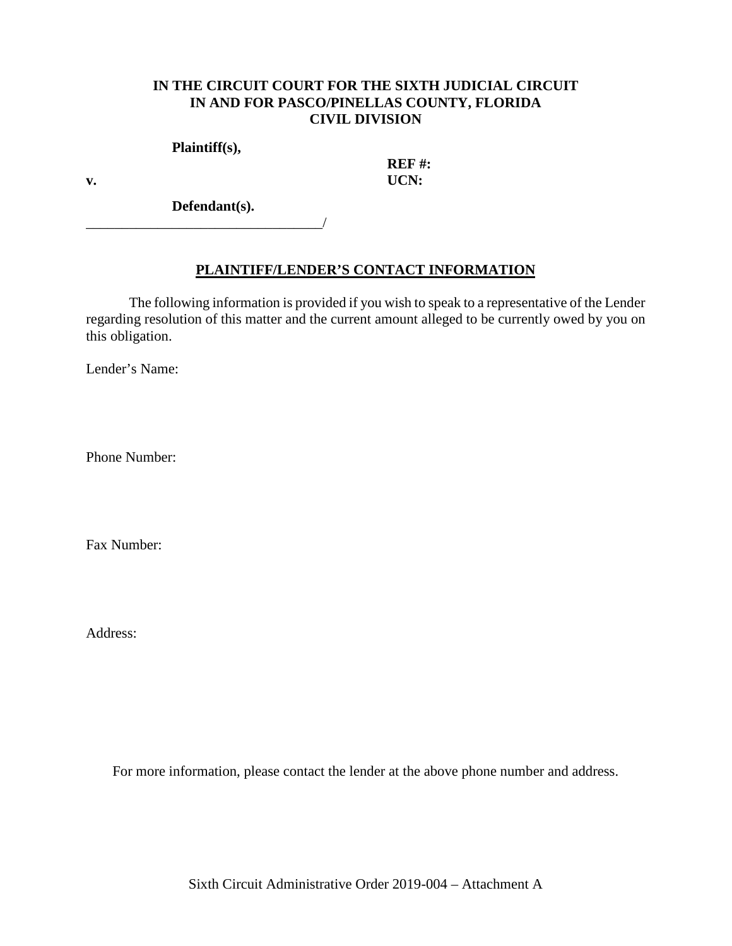## **IN THE CIRCUIT COURT FOR THE SIXTH JUDICIAL CIRCUIT IN AND FOR PASCO/PINELLAS COUNTY, FLORIDA CIVIL DIVISION**

**Plaintiff(s),** 

**REF #: UCN:** 

 **Defendant(s).**  \_\_\_\_\_\_\_\_\_\_\_\_\_\_\_\_\_\_\_\_\_\_\_\_\_\_\_\_\_\_\_\_\_/

# **PLAINTIFF/LENDER'S CONTACT INFORMATION**

The following information is provided if you wish to speak to a representative of the Lender regarding resolution of this matter and the current amount alleged to be currently owed by you on this obligation.

Lender's Name:

**v.** 

Phone Number:

Fax Number:<br><br>Address:

For more information, please contact the lender at the above phone number and address.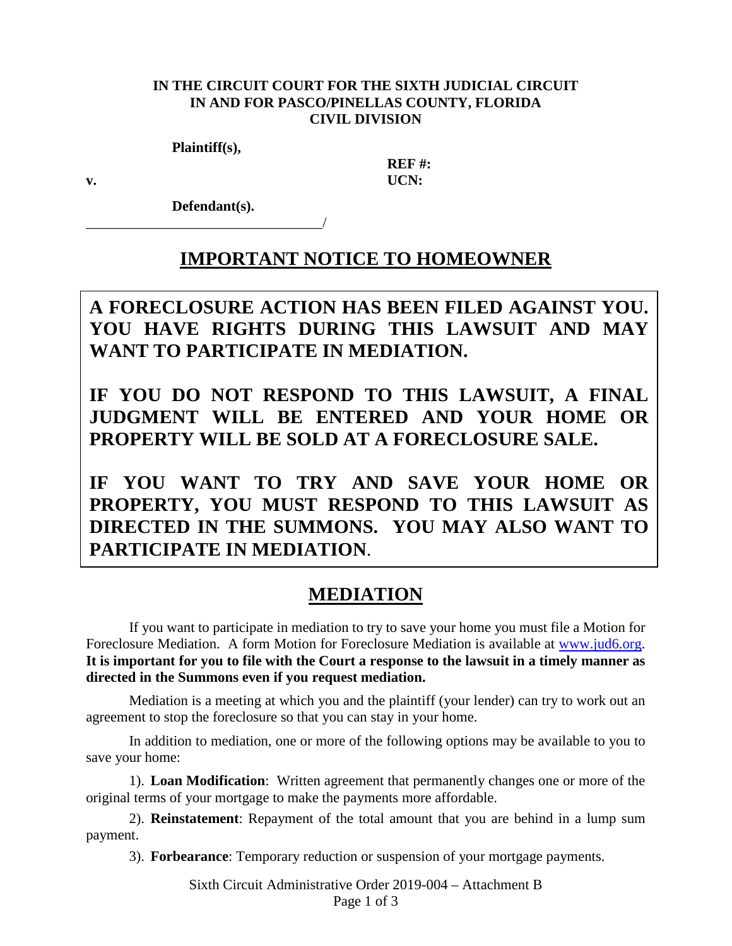## **IN THE CIRCUIT COURT FOR THE SIXTH JUDICIAL CIRCUIT IN AND FOR PASCO/PINELLAS COUNTY, FLORIDA CIVIL DIVISION**

 **Plaintiff(s),** 

**v.** 

**REF #: UCN:** 

 **Defendant(s).**  \_\_\_\_\_\_\_\_\_\_\_\_\_\_\_\_\_\_\_\_\_\_\_\_\_\_\_\_\_\_\_\_\_/

# **IMPORTANT NOTICE TO HOMEOWNER**

A FORECLOSURE ACTION HAS BEEN FILED AGAINST YOU. YOU HAVE RIGHTS DURING THIS LAWSUIT AND MAY **WANT TO PARTICIPATE IN MEDIATION.** 

**IF YOU DO NOT RESPOND TO THIS LAWSUIT, A FINAL JUDGMENT WILL BE ENTERED AND YOUR HOME OR PROPERTY WILL BE SOLD AT A FORECLOSURE SALE.** 

**IF YOU WANT TO TRY AND SAVE YOUR HOME OR PROPERTY, YOU MUST RESPOND TO THIS LAWSUIT AS DIRECTED IN THE SUMMONS. YOU MAY ALSO WANT TO PARTICIPATE IN MEDIATION**.

# **MEDIATION**

 If you want to participate in mediation to try to save your home you must file a Motion for Foreclosure Mediation. A form Motion for Foreclosure Mediation is available at www.jud6.org.  **It is important for you to file with the Court a response to the lawsuit in a timely manner as directed in the Summons even if you request mediation.** 

Mediation is a meeting at which you and the plaintiff (your lender) can try to work out an agreement to stop the foreclosure so that you can stay in your home.

 In addition to mediation, one or more of the following options may be available to you to save your home:

 original terms of your mortgage to make the payments more affordable. 1). **Loan Modification**: Written agreement that permanently changes one or more of the

 2). **Reinstatement**: Repayment of the total amount that you are behind in a lump sum payment.

3). **Forbearance**: Temporary reduction or suspension of your mortgage payments.

Sixth Circuit Administrative Order 2019-004 – Attachment B Page 1 of 3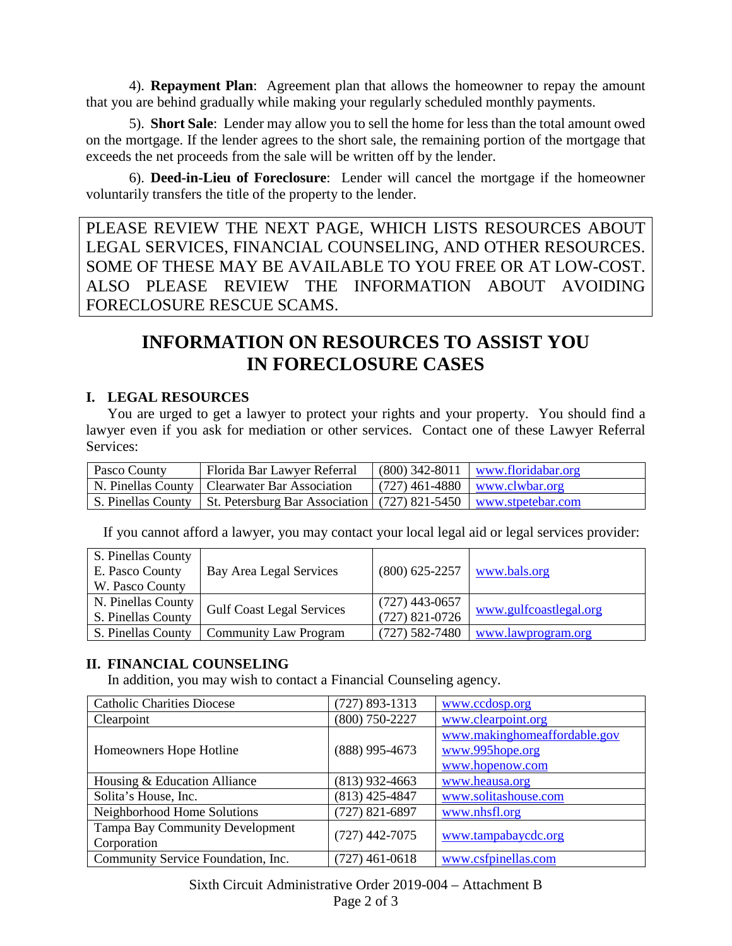4). **Repayment Plan**: Agreement plan that allows the homeowner to repay the amount that you are behind gradually while making your regularly scheduled monthly payments.

 5). **Short Sale**: Lender may allow you to sell the home for less than the total amount owed on the mortgage. If the lender agrees to the short sale, the remaining portion of the mortgage that exceeds the net proceeds from the sale will be written off by the lender.

 6). **Deed-in-Lieu of Foreclosure**: Lender will cancel the mortgage if the homeowner voluntarily transfers the title of the property to the lender.

 FORECLOSURE RESCUE SCAMS. PLEASE REVIEW THE NEXT PAGE, WHICH LISTS RESOURCES ABOUT LEGAL SERVICES, FINANCIAL COUNSELING, AND OTHER RESOURCES. SOME OF THESE MAY BE AVAILABLE TO YOU FREE OR AT LOW-COST. ALSO PLEASE REVIEW THE INFORMATION ABOUT AVOIDING

# **INFORMATION ON RESOURCES TO ASSIST YOU IN FORECLOSURE CASES**

# **I. LEGAL RESOURCES**

 lawyer even if you ask for mediation or other services. Contact one of these Lawyer Referral You are urged to get a lawyer to protect your rights and your property. You should find a Services:

| Pasco County | Florida Bar Lawyer Referral                                                              | $(800)$ 342-8011   www.floridabar.org |
|--------------|------------------------------------------------------------------------------------------|---------------------------------------|
|              | N. Pinellas County   Clearwater Bar Association                                          | $(727)$ 461-4880 www.clwbar.org       |
|              | S. Pinellas County   St. Petersburg Bar Association   (727) 821-5450   www.stpetebar.com |                                       |

If you cannot afford a lawyer, you may contact your local legal aid or legal services provider:

| S. Pinellas County<br>E. Pasco County | Bay Area Legal Services          | $(800)$ 625-2257 | www.bals.org           |
|---------------------------------------|----------------------------------|------------------|------------------------|
| W. Pasco County                       |                                  |                  |                        |
| N. Pinellas County                    | <b>Gulf Coast Legal Services</b> | $(727)$ 443-0657 |                        |
| S. Pinellas County                    |                                  | $(727)$ 821-0726 | www.gulfcoastlegal.org |
| <b>S. Pinellas County</b>             | <b>Community Law Program</b>     | $(727)$ 582-7480 | www.lawprogram.org     |

# **II. FINANCIAL COUNSELING**

In addition, you may wish to contact a Financial Counseling agency.

| <b>Catholic Charities Diocese</b>      | $(727)$ 893-1313 | www.ccdosp.org               |
|----------------------------------------|------------------|------------------------------|
| Clearpoint                             | $(800)$ 750-2227 | www.clearpoint.org           |
|                                        |                  | www.makinghomeaffordable.gov |
| Homeowners Hope Hotline                | $(888)$ 995-4673 | www.995hope.org              |
|                                        |                  | www.hopenow.com              |
| Housing & Education Alliance           | $(813)$ 932-4663 | www.heausa.org               |
| Solita's House, Inc.                   | $(813)$ 425-4847 | www.solitashouse.com         |
| Neighborhood Home Solutions            | $(727)$ 821-6897 | www.nhsfl.org                |
| <b>Tampa Bay Community Development</b> |                  |                              |
| Corporation                            | $(727)$ 442-7075 | www.tampabaycdc.org          |
| Community Service Foundation, Inc.     | $(727)$ 461-0618 | www.csfpinellas.com          |

Sixth Circuit Administrative Order 2019-004 – Attachment B Page 2 of 3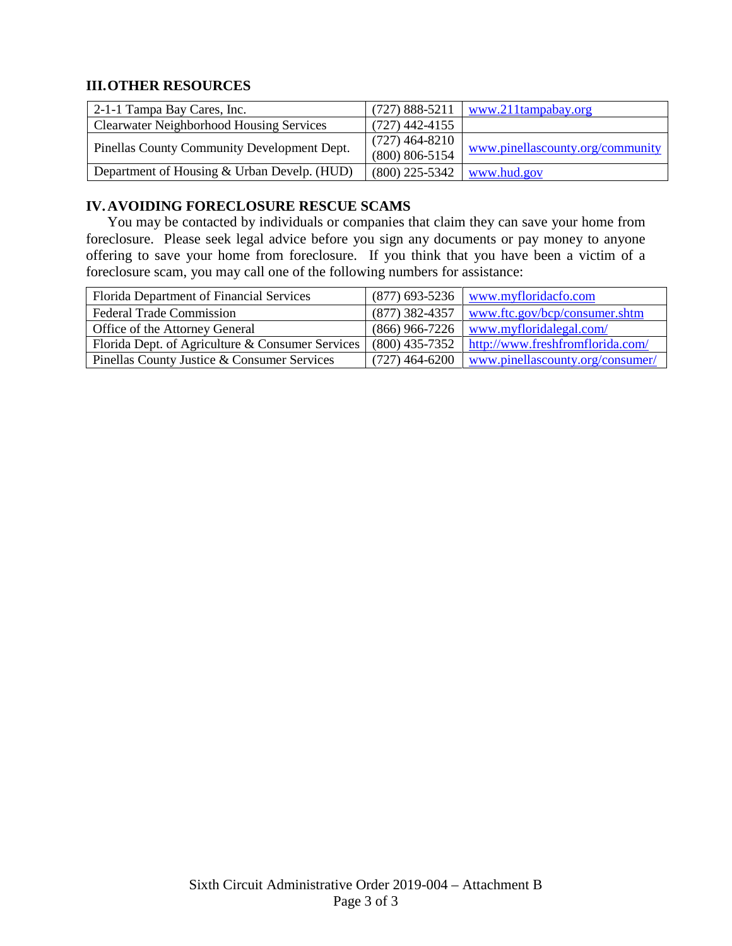# **III.OTHER RESOURCES**

| 2-1-1 Tampa Bay Cares, Inc.                     |                                        | $(727)$ 888-5211   www.211tampabay.org |
|-------------------------------------------------|----------------------------------------|----------------------------------------|
| <b>Clearwater Neighborhood Housing Services</b> | $(727)$ 442-4155                       |                                        |
| Pinellas County Community Development Dept.     | $(727)$ 464-8210<br>$(800) 806 - 5154$ | www.pinellascounty.org/community       |
| Department of Housing & Urban Develp. (HUD)     | $(800)$ 225-5342 www.hud.gov           |                                        |

# **IV. AVOIDING FORECLOSURE RESCUE SCAMS**

 You may be contacted by individuals or companies that claim they can save your home from offering to save your home from foreclosure. If you think that you have been a victim of a foreclosure. Please seek legal advice before you sign any documents or pay money to anyone foreclosure scam, you may call one of the following numbers for assistance:

| Florida Department of Financial Services         | $(877)$ 693-5236   www.myfloridacfo.com             |
|--------------------------------------------------|-----------------------------------------------------|
| <b>Federal Trade Commission</b>                  | $(877)$ 382-4357   www.ftc.gov/bcp/consumer.shtm    |
| Office of the Attorney General                   | $(866)$ 966-7226   www.myfloridalegal.com/          |
| Florida Dept. of Agriculture & Consumer Services | $(800)$ 435-7352   http://www.freshfromflorida.com/ |
| Pinellas County Justice & Consumer Services      | $(727)$ 464-6200 www.pinellascounty.org/consumer/   |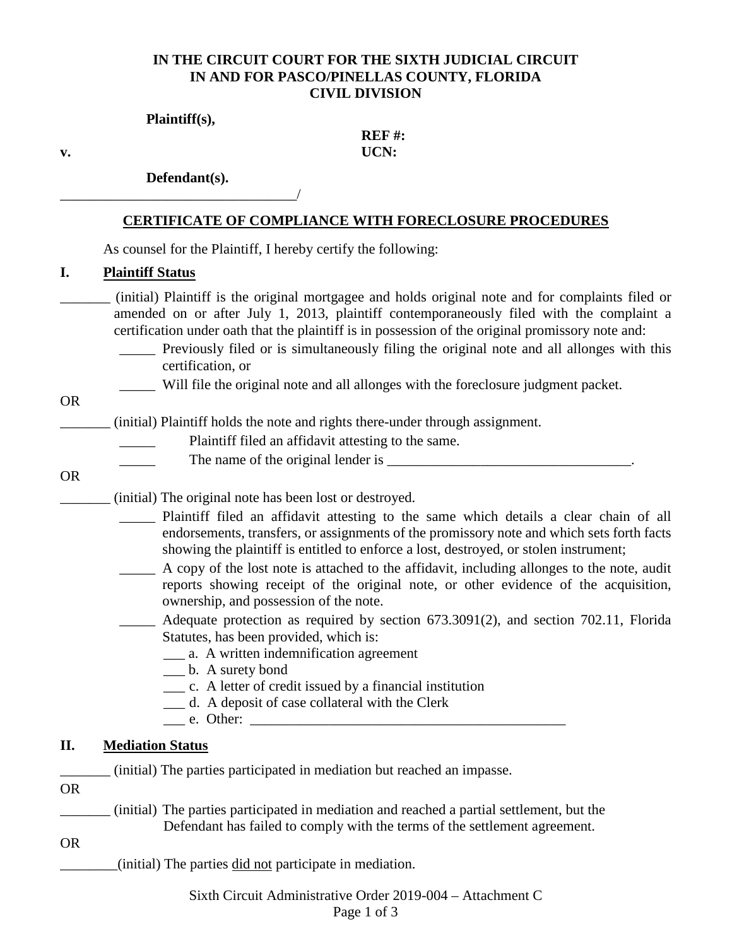## **IN THE CIRCUIT COURT FOR THE SIXTH JUDICIAL CIRCUIT IN AND FOR PASCO/PINELLAS COUNTY, FLORIDA CIVIL DIVISION**

 **Plaintiff(s),** 

**REF #: UCN:** 

**v.** 

 **Defendant(s).**  \_\_\_\_\_\_\_\_\_\_\_\_\_\_\_\_\_\_\_\_\_\_\_\_\_\_\_\_\_\_\_\_\_/

# **CERTIFICATE OF COMPLIANCE WITH FORECLOSURE PROCEDURES**

As counsel for the Plaintiff, I hereby certify the following:

### **I. Plaintiff Status**

- \_\_\_\_\_\_\_ (initial) Plaintiff is the original mortgagee and holds original note and for complaints filed or amended on or after July 1, 2013, plaintiff contemporaneously filed with the complaint a certification under oath that the plaintiff is in possession of the original promissory note and:
	- Previously filed or is simultaneously filing the original note and all allonges with this certification, or
	- Will file the original note and all allonges with the foreclosure judgment packet.

## OR

(initial) Plaintiff holds the note and rights there-under through assignment.

- Plaintiff filed an affidavit attesting to the same.
- \_\_\_\_\_ The name of the original lender is \_\_\_\_\_\_\_\_\_\_\_\_\_\_\_\_\_\_\_\_\_\_\_\_\_\_\_\_\_\_\_\_\_\_.

### OR

\_\_\_\_\_\_\_ (initial) The original note has been lost or destroyed.

- \_\_\_\_\_ Plaintiff filed an affidavit attesting to the same which details a clear chain of all endorsements, transfers, or assignments of the promissory note and which sets forth facts showing the plaintiff is entitled to enforce a lost, destroyed, or stolen instrument;
- \_\_\_\_\_ A copy of the lost note is attached to the affidavit, including allonges to the note, audit reports showing receipt of the original note, or other evidence of the acquisition, ownership, and possession of the note.
- \_\_\_\_\_ Adequate protection as required by section 673.3091(2), and section 702.11, Florida Statutes, has been provided, which is:
	- \_\_\_ a. A written indemnification agreement
	- \_\_\_ b. A surety bond
	- \_\_\_ c. A letter of credit issued by a financial institution
	- \_\_\_ d. A deposit of case collateral with the Clerk
	- $\rule{1em}{0.6em}$  e. Other:  $\rule{1em}{0.6em}$

## **II. Mediation Status**

\_\_\_\_\_\_\_ (initial) The parties participated in mediation but reached an impasse.

# OR

\_\_\_\_\_\_\_ (initial) The parties participated in mediation and reached a partial settlement, but the Defendant has failed to comply with the terms of the settlement agreement.

OR

\_\_\_\_\_\_\_\_(initial) The parties did not participate in mediation.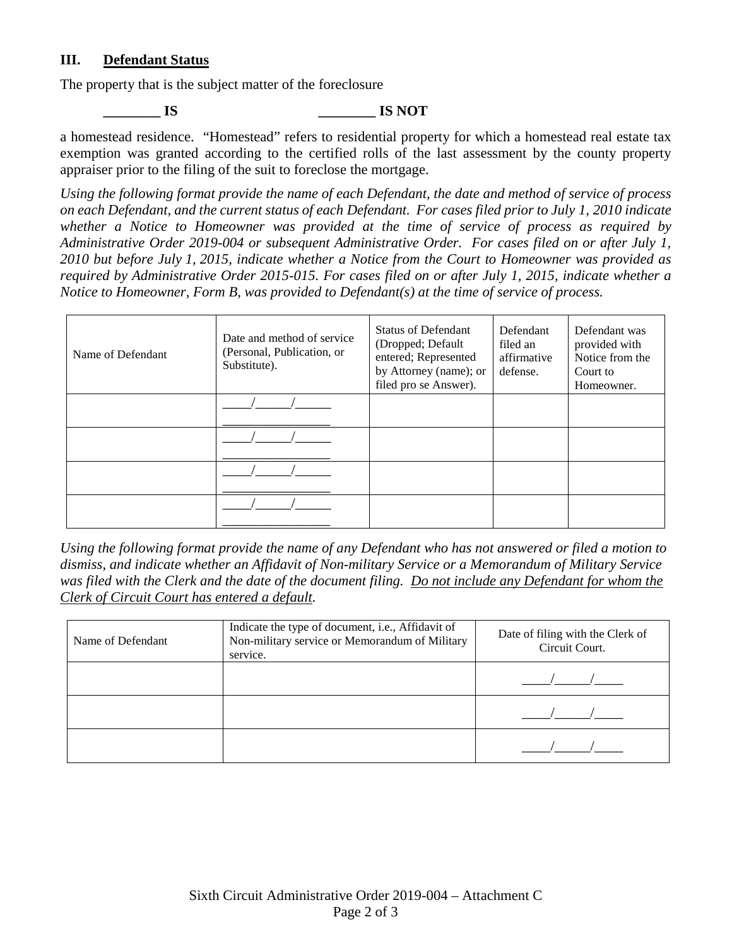## **III. Defendant Status**

The property that is the subject matter of the foreclosure

 **\_\_\_\_\_\_\_\_ IS \_\_\_\_\_\_\_\_ IS NOT** 

 a homestead residence. "Homestead" refers to residential property for which a homestead real estate tax exemption was granted according to the certified rolls of the last assessment by the county property appraiser prior to the filing of the suit to foreclose the mortgage.

 *Administrative Order 2019-004 or subsequent Administrative Order. For cases filed on or after July 1, Using the following format provide the name of each Defendant, the date and method of service of process on each Defendant, and the current status of each Defendant. For cases filed prior to July 1, 2010 indicate whether a Notice to Homeowner was provided at the time of service of process as required by 2010 but before July 1, 2015, indicate whether a Notice from the Court to Homeowner was provided as required by Administrative Order 2015-015. For cases filed on or after July 1, 2015, indicate whether a Notice to Homeowner, Form B, was provided to Defendant(s) at the time of service of process.* 

| Name of Defendant | Date and method of service<br>(Personal, Publication, or<br>Substitute). | <b>Status of Defendant</b><br>(Dropped; Default<br>entered; Represented<br>by Attorney (name); or<br>filed pro se Answer). | Defendant<br>filed an<br>affirmative<br>defense. | Defendant was<br>provided with<br>Notice from the<br>Court to<br>Homeowner. |
|-------------------|--------------------------------------------------------------------------|----------------------------------------------------------------------------------------------------------------------------|--------------------------------------------------|-----------------------------------------------------------------------------|
|                   |                                                                          |                                                                                                                            |                                                  |                                                                             |
|                   |                                                                          |                                                                                                                            |                                                  |                                                                             |
|                   |                                                                          |                                                                                                                            |                                                  |                                                                             |
|                   |                                                                          |                                                                                                                            |                                                  |                                                                             |

 *was filed with the Clerk and the date of the document filing. Do not include any Defendant for whom the Using the following format provide the name of any Defendant who has not answered or filed a motion to dismiss, and indicate whether an Affidavit of Non-military Service or a Memorandum of Military Service Clerk of Circuit Court has entered a default.* 

| Name of Defendant | Indicate the type of document, i.e., Affidavit of<br>Non-military service or Memorandum of Military<br>service. | Date of filing with the Clerk of<br>Circuit Court. |
|-------------------|-----------------------------------------------------------------------------------------------------------------|----------------------------------------------------|
|                   |                                                                                                                 |                                                    |
|                   |                                                                                                                 |                                                    |
|                   |                                                                                                                 |                                                    |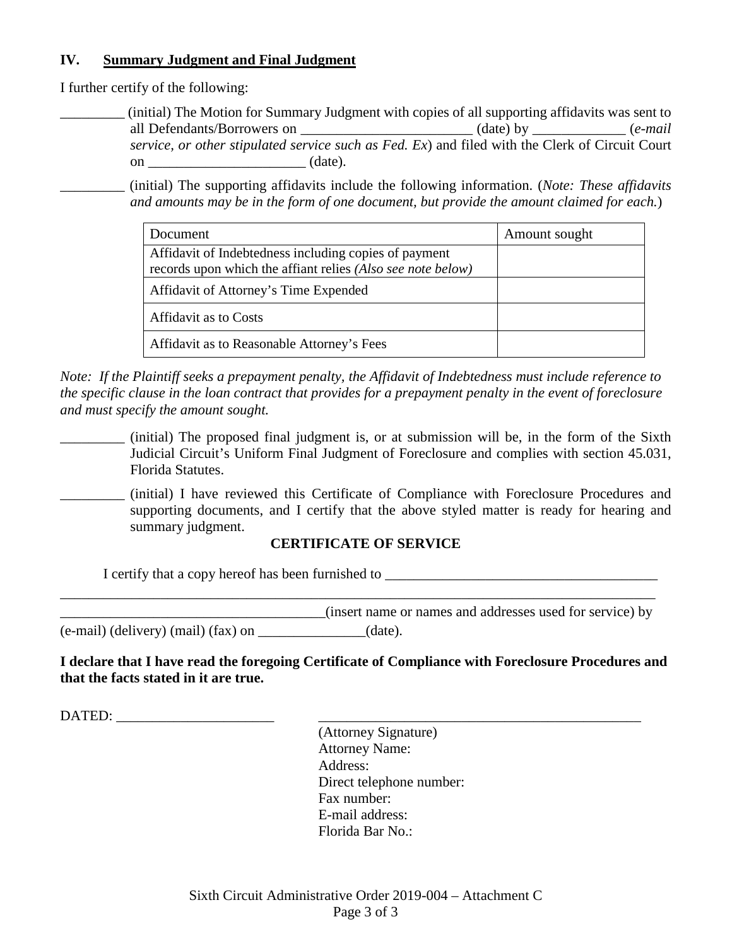## **IV. Summary Judgment and Final Judgment**

I further certify of the following:

\_\_\_\_\_\_\_\_\_ (initial) The Motion for Summary Judgment with copies of all supporting affidavits was sent to all Defendants/Borrowers on \_\_\_\_\_\_\_\_\_\_\_\_\_\_\_\_\_\_\_\_\_\_\_\_ (date) by \_\_\_\_\_\_\_\_\_\_\_\_\_ (*e-mail service, or other stipulated service such as Fed. Ex*) and filed with the Clerk of Circuit Court on \_\_\_\_\_\_\_\_\_\_\_\_\_\_\_\_\_\_\_\_\_\_ (date).

\_\_\_\_\_\_\_\_\_ (initial) The supporting affidavits include the following information. (*Note: These affidavits and amounts may be in the form of one document, but provide the amount claimed for each.*)

| Document                                                                                                             | Amount sought |
|----------------------------------------------------------------------------------------------------------------------|---------------|
| Affidavit of Indebtedness including copies of payment<br>records upon which the affiant relies (Also see note below) |               |
| Affidavit of Attorney's Time Expended                                                                                |               |
| <b>Affidavit as to Costs</b>                                                                                         |               |
| Affidavit as to Reasonable Attorney's Fees                                                                           |               |

*Note: If the Plaintiff seeks a prepayment penalty, the Affidavit of Indebtedness must include reference to the specific clause in the loan contract that provides for a prepayment penalty in the event of foreclosure and must specify the amount sought.* 

- \_\_\_\_\_\_\_\_\_ (initial) The proposed final judgment is, or at submission will be, in the form of the Sixth Judicial Circuit's Uniform Final Judgment of Foreclosure and complies with section 45.031, Florida Statutes.
- \_\_\_\_\_\_\_\_\_ (initial) I have reviewed this Certificate of Compliance with Foreclosure Procedures and supporting documents, and I certify that the above styled matter is ready for hearing and summary judgment.

# **CERTIFICATE OF SERVICE**

I certify that a copy hereof has been furnished to \_\_\_\_\_\_\_\_\_\_\_\_\_\_\_\_\_\_\_\_\_\_\_\_\_\_\_\_\_\_

 \_\_\_\_\_\_\_\_\_\_\_\_\_\_\_\_\_\_\_\_\_\_\_\_\_\_\_\_\_\_\_\_\_\_\_\_\_(insert name or names and addresses used for service) by  $(e-mail)$  (delivery) (mail) (fax) on \_\_\_\_\_\_\_\_\_\_\_\_\_(date).

\_\_\_\_\_\_\_\_\_\_\_\_\_\_\_\_\_\_\_\_\_\_\_\_\_\_\_\_\_\_\_\_\_\_\_\_\_\_\_\_\_\_\_\_\_\_\_\_\_\_\_\_\_\_\_\_\_\_\_\_\_\_\_\_\_\_\_\_\_\_\_\_\_\_\_\_\_\_\_\_\_\_\_

## **I declare that I have read the foregoing Certificate of Compliance with Foreclosure Procedures and that the facts stated in it are true.**

DATED:

(Attorney Signature) Attorney Name: Address: Direct telephone number: Fax number: E-mail address: Florida Bar No.: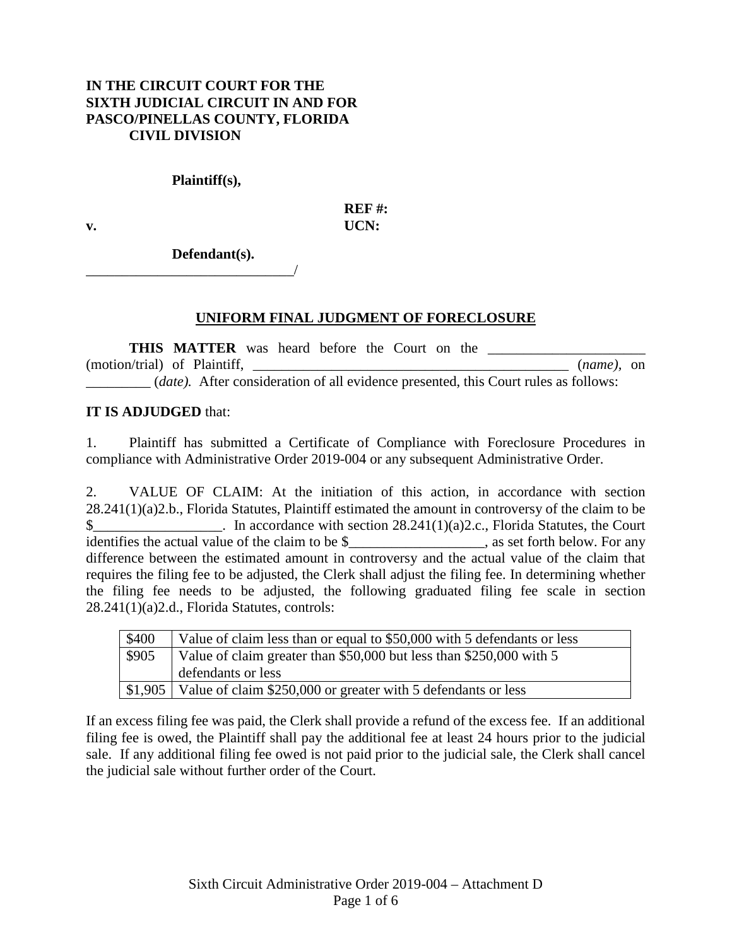## **SIXTH JUDICIAL CIRCUIT IN AND FOR IN THE CIRCUIT COURT FOR THE PASCO/PINELLAS COUNTY, FLORIDA CIVIL DIVISION**

## **Plaintiff(s),**

**v.** 

**REF #: UCN:** 

 **Defendant(s).** 

\_\_\_\_\_\_\_\_\_\_\_\_\_\_\_\_\_\_\_\_\_\_\_\_\_\_\_\_\_/

# **UNIFORM FINAL JUDGMENT OF FORECLOSURE**

 $(name)$ , on \_\_\_\_\_\_\_\_\_ (*date).* After consideration of all evidence presented, this Court rules as follows: THIS MATTER was heard before the Court on the (motion/trial) of Plaintiff, \_\_\_\_\_\_\_\_\_\_\_\_\_\_\_\_\_\_\_\_\_\_\_\_\_\_\_\_\_\_\_\_\_\_\_\_\_\_\_\_\_\_\_\_ (*name),* on

## **IT IS ADJUDGED** that:

 1. Plaintiff has submitted a Certificate of Compliance with Foreclosure Procedures in compliance with Administrative Order 2019-004 or any subsequent Administrative Order.

2. VALUE OF CLAIM: At the initiation of this action, in accordance with section 28.241(1)(a)2.b., Florida Statutes, Plaintiff estimated the amount in controversy of the claim to be \$ identifies the actual value of the claim to be \$\_\_\_\_\_\_\_\_\_\_\_\_\_\_\_\_\_\_\_, as set forth below. For any difference between the estimated amount in controversy and the actual value of the claim that requires the filing fee to be adjusted, the Clerk shall adjust the filing fee. In determining whether the filing fee needs to be adjusted, the following graduated filing fee scale in section 28.241(1)(a)2.d., Florida Statutes, controls:

| \$400 | Value of claim less than or equal to \$50,000 with 5 defendants or less |
|-------|-------------------------------------------------------------------------|
| \$905 | Value of claim greater than \$50,000 but less than \$250,000 with 5     |
|       | defendants or less                                                      |
|       | $$1,905$ Value of claim \$250,000 or greater with 5 defendants or less  |

 If an excess filing fee was paid, the Clerk shall provide a refund of the excess fee. If an additional filing fee is owed, the Plaintiff shall pay the additional fee at least 24 hours prior to the judicial sale. If any additional filing fee owed is not paid prior to the judicial sale, the Clerk shall cancel the judicial sale without further order of the Court.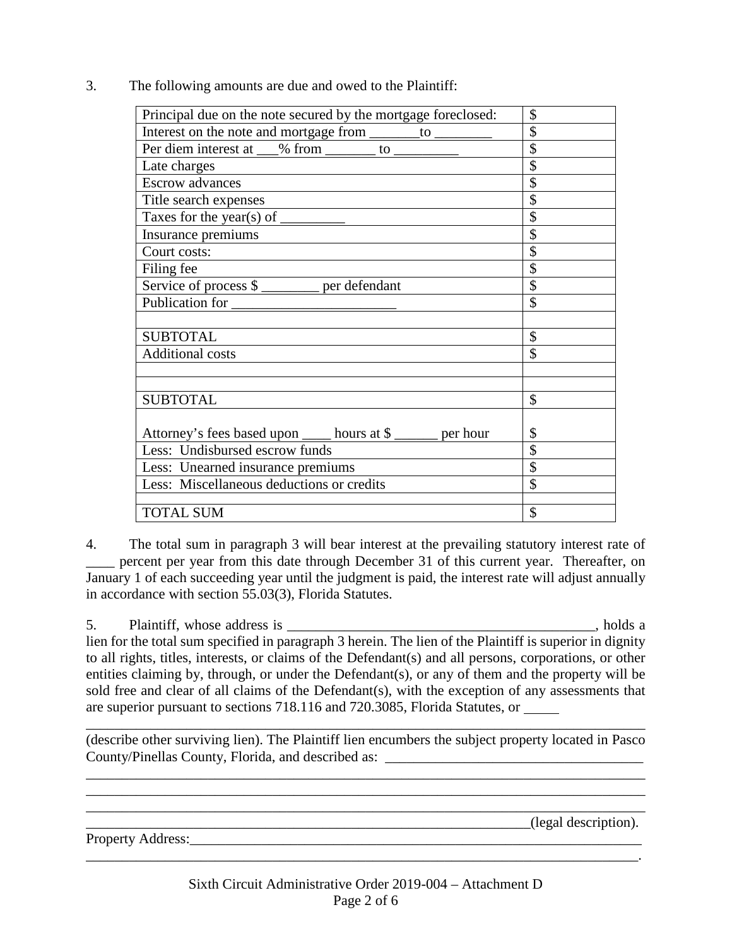| Principal due on the note secured by the mortgage foreclosed:                                                                                | $\mathcal{S}$            |
|----------------------------------------------------------------------------------------------------------------------------------------------|--------------------------|
| Interest on the note and mortgage from _______ to ________                                                                                   | $\overline{\$}$          |
| Per diem interest at __% from _______ to ________                                                                                            | $\overline{\mathcal{S}}$ |
| Late charges<br><u> 1989 - John Stein, Amerikaansk politiker (</u>                                                                           | $\overline{\mathcal{S}}$ |
| <b>Escrow</b> advances                                                                                                                       | $\overline{\mathcal{S}}$ |
| Title search expenses                                                                                                                        | $\overline{\mathcal{S}}$ |
| Taxes for the year(s) of $\frac{\qquad \qquad }{\qquad \qquad }$                                                                             | $\overline{\$}$          |
| Insurance premiums<br><u> 1989 - Jan Samuel Barbara, martin da shekara 1989 - An tsa a tsara 1989 - An tsa a tsa a tsa a tsa a tsa a tsa</u> | $\overline{\$}$          |
| Court costs:                                                                                                                                 | \$                       |
| Filing fee                                                                                                                                   | $\hat{\mathcal{L}}$      |
| Service of process \$                                                                                                                        | $\overline{\$}$          |
| Publication for                                                                                                                              | $\mathcal{S}$            |
| <b>SUBTOTAL</b>                                                                                                                              | $\mathcal{S}$            |
| <b>Additional costs</b>                                                                                                                      | \$                       |
| <b>SUBTOTAL</b>                                                                                                                              | $\mathcal{S}$            |
|                                                                                                                                              |                          |
| Attorney's fees based upon ______ hours at \$ ________ per hour                                                                              | \$                       |
| Less: Undisbursed escrow funds                                                                                                               | $\overline{\mathcal{S}}$ |
| Less: Unearned insurance premiums                                                                                                            | $\overline{\mathcal{S}}$ |
| Less: Miscellaneous deductions or credits                                                                                                    | \$                       |
|                                                                                                                                              |                          |

 \_\_\_\_ percent per year from this date through December 31 of this current year. Thereafter, on 4. The total sum in paragraph 3 will bear interest at the prevailing statutory interest rate of January 1 of each succeeding year until the judgment is paid, the interest rate will adjust annually in accordance with section 55.03(3), Florida Statutes.

are superior pursuant to sections 718.116 and 720.3085, Florida Statutes, or 5. Plaintiff, whose address is \_\_\_\_\_\_\_\_\_\_\_\_\_\_\_\_\_\_\_\_\_\_\_\_\_\_\_\_\_\_\_\_\_\_\_\_\_\_\_\_\_\_\_, holds a lien for the total sum specified in paragraph 3 herein. The lien of the Plaintiff is superior in dignity to all rights, titles, interests, or claims of the Defendant(s) and all persons, corporations, or other entities claiming by, through, or under the Defendant(s), or any of them and the property will be sold free and clear of all claims of the Defendant(s), with the exception of any assessments that

(describe other surviving lien). The Plaintiff lien encumbers the subject property located in Pasco County/Pinellas County, Florida, and described as: \_\_\_\_\_\_\_\_\_\_\_\_\_\_\_\_\_\_\_\_\_\_\_\_\_\_\_\_\_\_

\_\_\_\_\_\_\_\_\_\_\_\_\_\_\_\_\_\_\_\_\_\_\_\_\_\_\_\_\_\_\_\_\_\_\_\_\_\_\_\_\_\_\_\_\_\_\_\_\_\_\_\_\_\_\_\_\_\_\_\_\_\_\_\_\_\_\_\_\_\_\_\_\_\_\_\_\_\_ \_\_\_\_\_\_\_\_\_\_\_\_\_\_\_\_\_\_\_\_\_\_\_\_\_\_\_\_\_\_\_\_\_\_\_\_\_\_\_\_\_\_\_\_\_\_\_\_\_\_\_\_\_\_\_\_\_\_\_\_\_\_\_\_\_\_\_\_\_\_\_\_\_\_\_\_\_\_

\_\_\_\_\_\_\_\_\_\_\_\_\_\_\_\_\_\_\_\_\_\_\_\_\_\_\_\_\_\_\_\_\_\_\_\_\_\_\_\_\_\_\_\_\_\_\_\_\_\_\_\_\_\_\_\_\_\_\_\_\_\_\_\_\_\_\_\_\_\_\_\_\_\_\_\_\_\_

\_\_\_\_\_\_\_\_\_\_\_\_\_\_\_\_\_\_\_\_\_\_\_\_\_\_\_\_\_\_\_\_\_\_\_\_\_\_\_\_\_\_\_\_\_\_\_\_\_\_\_\_\_\_\_\_\_\_\_\_\_\_(legal description).

Property Address:\_\_\_\_\_\_\_\_\_\_\_\_\_\_\_\_\_\_\_\_\_\_\_\_\_\_\_\_\_\_\_\_\_\_\_\_\_\_\_\_\_\_\_\_\_\_\_\_\_\_\_\_\_\_\_\_\_\_\_\_\_\_\_

\_\_\_\_\_\_\_\_\_\_\_\_\_\_\_\_\_\_\_\_\_\_\_\_\_\_\_\_\_\_\_\_\_\_\_\_\_\_\_\_\_\_\_\_\_\_\_\_\_\_\_\_\_\_\_\_\_\_\_\_\_\_\_\_\_\_\_\_\_\_\_\_\_\_\_\_\_.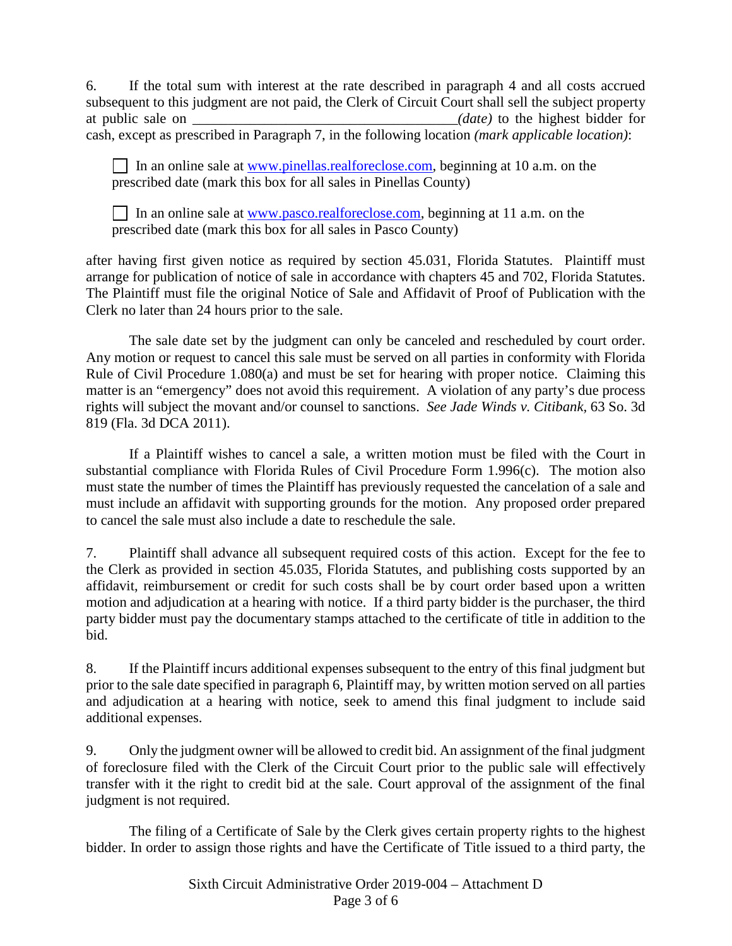6. If the total sum with interest at the rate described in paragraph 4 and all costs accrued subsequent to this judgment are not paid, the Clerk of Circuit Court shall sell the subject property at public sale on  $(date)$  to the highest bidder for cash, except as prescribed in Paragraph 7, in the following location *(mark applicable location)*:

 In an online sale at www.pinellas.realforeclose.com, beginning at 10 a.m. on the prescribed date (mark this box for all sales in Pinellas County)

In an online sale at www.pasco.realforeclose.com, beginning at 11 a.m. on the prescribed date (mark this box for all sales in Pasco County)

after having first given notice as required by section 45.031, Florida Statutes. Plaintiff must arrange for publication of notice of sale in accordance with chapters 45 and 702, Florida Statutes. The Plaintiff must file the original Notice of Sale and Affidavit of Proof of Publication with the Clerk no later than 24 hours prior to the sale.

The sale date set by the judgment can only be canceled and rescheduled by court order. Any motion or request to cancel this sale must be served on all parties in conformity with Florida Rule of Civil Procedure 1.080(a) and must be set for hearing with proper notice. Claiming this matter is an "emergency" does not avoid this requirement. A violation of any party's due process rights will subject the movant and/or counsel to sanctions. *See Jade Winds v. Citibank,* 63 So. 3d 819 (Fla. 3d DCA 2011).

If a Plaintiff wishes to cancel a sale, a written motion must be filed with the Court in substantial compliance with Florida Rules of Civil Procedure Form 1.996(c). The motion also must state the number of times the Plaintiff has previously requested the cancelation of a sale and must include an affidavit with supporting grounds for the motion. Any proposed order prepared to cancel the sale must also include a date to reschedule the sale.

7. Plaintiff shall advance all subsequent required costs of this action. Except for the fee to the Clerk as provided in section 45.035, Florida Statutes, and publishing costs supported by an affidavit, reimbursement or credit for such costs shall be by court order based upon a written motion and adjudication at a hearing with notice. If a third party bidder is the purchaser, the third party bidder must pay the documentary stamps attached to the certificate of title in addition to the bid.

8. If the Plaintiff incurs additional expenses subsequent to the entry of this final judgment but prior to the sale date specified in paragraph 6, Plaintiff may, by written motion served on all parties and adjudication at a hearing with notice, seek to amend this final judgment to include said additional expenses.

9. Only the judgment owner will be allowed to credit bid. An assignment of the final judgment of foreclosure filed with the Clerk of the Circuit Court prior to the public sale will effectively transfer with it the right to credit bid at the sale. Court approval of the assignment of the final judgment is not required.

The filing of a Certificate of Sale by the Clerk gives certain property rights to the highest bidder. In order to assign those rights and have the Certificate of Title issued to a third party, the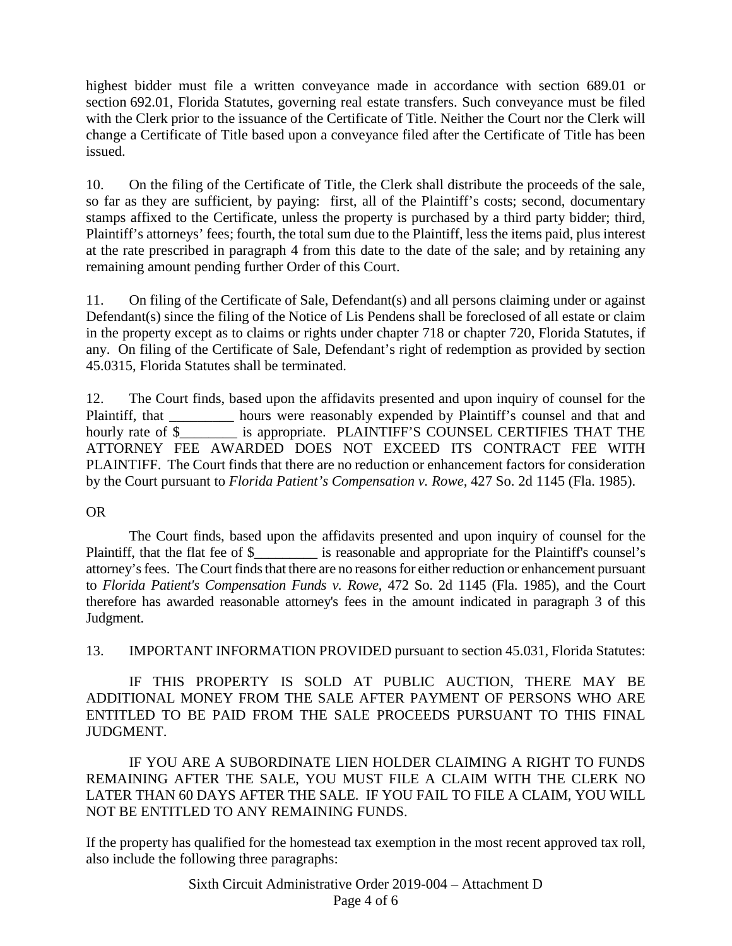highest bidder must file a written conveyance made in accordance with section 689.01 or section 692.01, Florida Statutes, governing real estate transfers. Such conveyance must be filed with the Clerk prior to the issuance of the Certificate of Title. Neither the Court nor the Clerk will change a Certificate of Title based upon a conveyance filed after the Certificate of Title has been issued.

 10. On the filing of the Certificate of Title, the Clerk shall distribute the proceeds of the sale, so far as they are sufficient, by paying: first, all of the Plaintiff's costs; second, documentary stamps affixed to the Certificate, unless the property is purchased by a third party bidder; third, Plaintiff's attorneys' fees; fourth, the total sum due to the Plaintiff, less the items paid, plus interest at the rate prescribed in paragraph 4 from this date to the date of the sale; and by retaining any remaining amount pending further Order of this Court.

 11. On filing of the Certificate of Sale, Defendant(s) and all persons claiming under or against Defendant(s) since the filing of the Notice of Lis Pendens shall be foreclosed of all estate or claim in the property except as to claims or rights under chapter 718 or chapter 720, Florida Statutes, if any. On filing of the Certificate of Sale, Defendant's right of redemption as provided by section 45.0315, Florida Statutes shall be terminated.

12. The Court finds, based upon the affidavits presented and upon inquiry of counsel for the Plaintiff, that \_\_\_\_\_\_\_\_\_ hours were reasonably expended by Plaintiff's counsel and that and hourly rate of \$\_\_\_\_\_\_\_\_\_\_\_ is appropriate. PLAINTIFF'S COUNSEL CERTIFIES THAT THE ATTORNEY FEE AWARDED DOES NOT EXCEED ITS CONTRACT FEE WITH PLAINTIFF. The Court finds that there are no reduction or enhancement factors for consideration by the Court pursuant to *Florida Patient's Compensation v. Rowe,* 427 So. 2d 1145 (Fla. 1985).

# OR

 The Court finds, based upon the affidavits presented and upon inquiry of counsel for the attorney's fees. The Court finds that there are no reasons for either reduction or enhancement pursuant Plaintiff, that the flat fee of \$ is reasonable and appropriate for the Plaintiff's counsel's to *Florida Patient's Compensation Funds v. Rowe*, 472 So. 2d 1145 (Fla. 1985), and the Court therefore has awarded reasonable attorney's fees in the amount indicated in paragraph 3 of this Judgment.

13. IMPORTANT INFORMATION PROVIDED pursuant to section 45.031, Florida Statutes:

 ADDITIONAL MONEY FROM THE SALE AFTER PAYMENT OF PERSONS WHO ARE IF THIS PROPERTY IS SOLD AT PUBLIC AUCTION, THERE MAY BE ENTITLED TO BE PAID FROM THE SALE PROCEEDS PURSUANT TO THIS FINAL JUDGMENT.

 LATER THAN 60 DAYS AFTER THE SALE. IF YOU FAIL TO FILE A CLAIM, YOU WILL IF YOU ARE A SUBORDINATE LIEN HOLDER CLAIMING A RIGHT TO FUNDS REMAINING AFTER THE SALE, YOU MUST FILE A CLAIM WITH THE CLERK NO NOT BE ENTITLED TO ANY REMAINING FUNDS.

If the property has qualified for the homestead tax exemption in the most recent approved tax roll, also include the following three paragraphs:

> Page 4 of 6 Sixth Circuit Administrative Order 2019-004 – Attachment D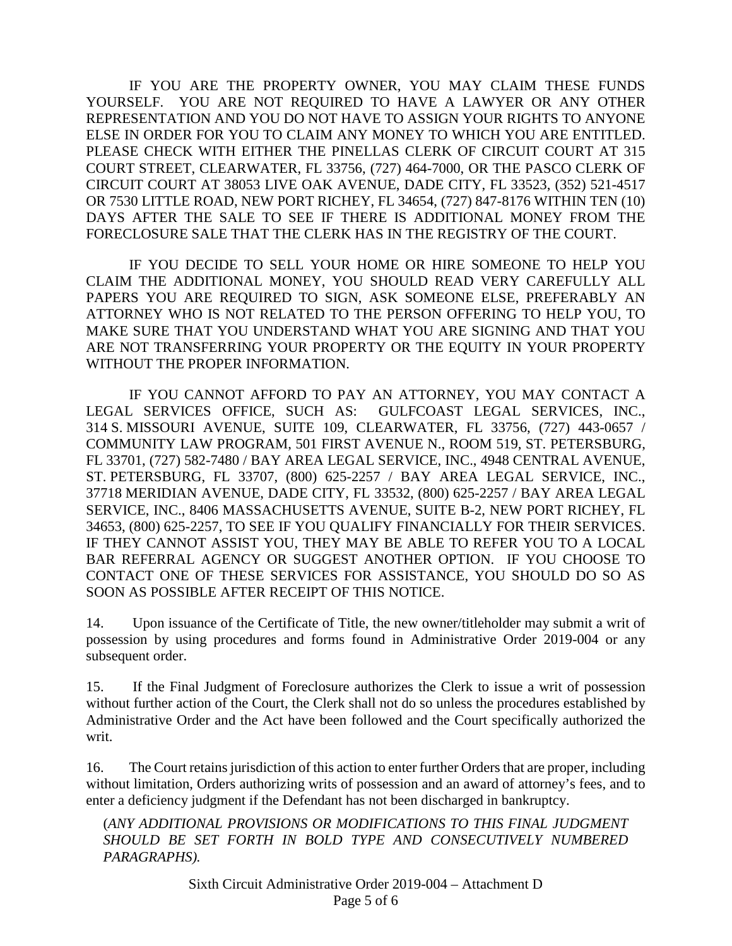ELSE IN ORDER FOR YOU TO CLAIM ANY MONEY TO WHICH YOU ARE ENTITLED. DAYS AFTER THE SALE TO SEE IF THERE IS ADDITIONAL MONEY FROM THE IF YOU ARE THE PROPERTY OWNER, YOU MAY CLAIM THESE FUNDS YOURSELF. YOU ARE NOT REQUIRED TO HAVE A LAWYER OR ANY OTHER REPRESENTATION AND YOU DO NOT HAVE TO ASSIGN YOUR RIGHTS TO ANYONE PLEASE CHECK WITH EITHER THE PINELLAS CLERK OF CIRCUIT COURT AT 315 COURT STREET, CLEARWATER, FL 33756, (727) 464-7000, OR THE PASCO CLERK OF CIRCUIT COURT AT 38053 LIVE OAK AVENUE, DADE CITY, FL 33523, (352) 521-4517 OR 7530 LITTLE ROAD, NEW PORT RICHEY, FL 34654, (727) 847-8176 WITHIN TEN (10) FORECLOSURE SALE THAT THE CLERK HAS IN THE REGISTRY OF THE COURT.

 MAKE SURE THAT YOU UNDERSTAND WHAT YOU ARE SIGNING AND THAT YOU IF YOU DECIDE TO SELL YOUR HOME OR HIRE SOMEONE TO HELP YOU CLAIM THE ADDITIONAL MONEY, YOU SHOULD READ VERY CAREFULLY ALL PAPERS YOU ARE REQUIRED TO SIGN, ASK SOMEONE ELSE, PREFERABLY AN ATTORNEY WHO IS NOT RELATED TO THE PERSON OFFERING TO HELP YOU, TO ARE NOT TRANSFERRING YOUR PROPERTY OR THE EQUITY IN YOUR PROPERTY WITHOUT THE PROPER INFORMATION.

 LEGAL SERVICES OFFICE, SUCH AS: GULFCOAST LEGAL SERVICES, INC., FL 33701, (727) 582-7480 / BAY AREA LEGAL SERVICE, INC., 4948 CENTRAL AVENUE, SERVICE, INC., 8406 MASSACHUSETTS AVENUE, SUITE B-2, NEW PORT RICHEY, FL 34653, (800) 625-2257, TO SEE IF YOU QUALIFY FINANCIALLY FOR THEIR SERVICES. BAR REFERRAL AGENCY OR SUGGEST ANOTHER OPTION. IF YOU CHOOSE TO IF YOU CANNOT AFFORD TO PAY AN ATTORNEY, YOU MAY CONTACT A 314 S. MISSOURI AVENUE, SUITE 109, CLEARWATER, FL 33756, (727) 443-0657 / COMMUNITY LAW PROGRAM, 501 FIRST AVENUE N., ROOM 519, ST. PETERSBURG, ST. PETERSBURG, FL 33707, (800) 625-2257 / BAY AREA LEGAL SERVICE, INC., 37718 MERIDIAN AVENUE, DADE CITY, FL 33532, (800) 625-2257 / BAY AREA LEGAL IF THEY CANNOT ASSIST YOU, THEY MAY BE ABLE TO REFER YOU TO A LOCAL CONTACT ONE OF THESE SERVICES FOR ASSISTANCE, YOU SHOULD DO SO AS SOON AS POSSIBLE AFTER RECEIPT OF THIS NOTICE.

14. Upon issuance of the Certificate of Title, the new owner/titleholder may submit a writ of possession by using procedures and forms found in Administrative Order 2019-004 or any subsequent order.

15. If the Final Judgment of Foreclosure authorizes the Clerk to issue a writ of possession without further action of the Court, the Clerk shall not do so unless the procedures established by Administrative Order and the Act have been followed and the Court specifically authorized the writ.

16. The Court retains jurisdiction of this action to enter further Orders that are proper, including without limitation, Orders authorizing writs of possession and an award of attorney's fees, and to enter a deficiency judgment if the Defendant has not been discharged in bankruptcy.

(*ANY ADDITIONAL PROVISIONS OR MODIFICATIONS TO THIS FINAL JUDGMENT SHOULD BE SET FORTH IN BOLD TYPE AND CONSECUTIVELY NUMBERED PARAGRAPHS).* 

> Page 5 of 6 Sixth Circuit Administrative Order 2019-004 – Attachment D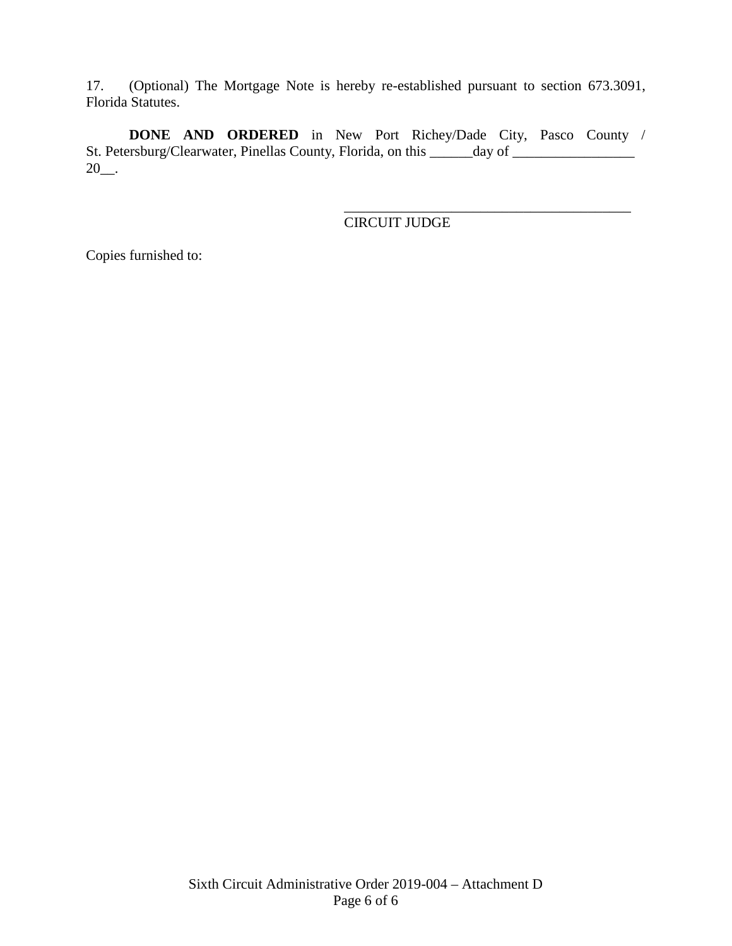17. (Optional) The Mortgage Note is hereby re-established pursuant to section 673.3091, Florida Statutes.

**DONE AND ORDERED** in New Port Richey/Dade City, Pasco County / St. Petersburg/Clearwater, Pinellas County, Florida, on this \_\_\_\_\_day of \_\_\_\_\_\_\_\_\_\_\_\_\_\_  $20$ \_\_.

> \_\_\_\_\_\_\_\_\_\_\_\_\_\_\_\_\_\_\_\_\_\_\_\_\_\_\_\_\_\_\_\_\_\_\_\_\_\_\_\_ CIRCUIT JUDGE

Copies furnished to: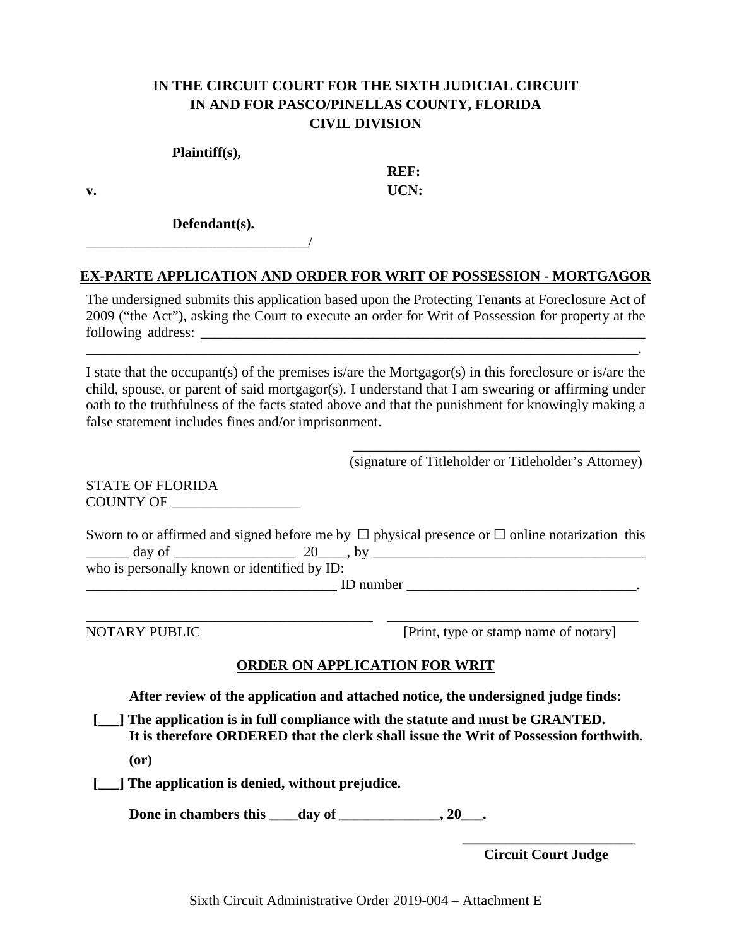# **IN THE CIRCUIT COURT FOR THE SIXTH JUDICIAL CIRCUIT IN AND FOR PASCO/PINELLAS COUNTY, FLORIDA CIVIL DIVISION**

**Plaintiff(s),**

**REF: UCN:** 

**v.** 

\_\_\_\_\_\_\_\_\_

**Defendant(s).** 

\_\_\_\_\_\_\_\_\_\_\_\_\_\_\_\_\_\_\_\_\_\_/

# **EX-PARTE APPLICATION AND ORDER FOR WRIT OF POSSESSION - MORTGAGOR**

 2009 ("the Act"), asking the Court to execute an order for Writ of Possession for property at the following address: \_\_\_\_\_\_\_\_\_\_\_\_\_\_\_\_\_\_\_\_\_\_\_\_\_\_\_\_\_\_\_\_\_\_\_\_\_\_\_\_\_\_\_\_\_\_\_\_\_\_\_\_\_\_\_\_\_\_\_\_\_\_ The undersigned submits this application based upon the Protecting Tenants at Foreclosure Act of

\_\_\_\_\_\_\_\_\_\_\_\_\_\_\_\_\_\_\_\_\_\_\_\_\_\_\_\_\_\_\_\_\_\_\_\_\_\_\_\_\_\_\_\_\_\_\_\_\_\_\_\_\_\_\_\_\_\_\_\_\_\_\_\_\_\_\_\_\_\_\_\_\_\_\_\_\_.

 I state that the occupant(s) of the premises is/are the Mortgagor(s) in this foreclosure or is/are the child, spouse, or parent of said mortgagor(s). I understand that I am swearing or affirming under oath to the truthfulness of the facts stated above and that the punishment for knowingly making a false statement includes fines and/or imprisonment.

\_\_\_\_\_\_\_\_\_\_\_\_\_\_\_\_\_\_\_\_\_\_\_\_\_\_\_\_\_\_\_\_\_\_\_\_\_\_\_\_ (signature of Titleholder or Titleholder's Attorney) STATE OF FLORIDA

COUNTY OF \_\_\_\_\_\_\_\_\_\_\_\_\_\_\_\_\_\_

Sworn to or affirmed and signed before me by  $\Box$  physical presence or  $\Box$  online notarization this who is personally known or identified by ID: \_\_\_\_\_\_ day of \_\_\_\_\_\_\_\_\_\_\_\_\_\_\_\_\_ 20\_\_\_\_, by \_\_\_\_\_\_\_\_\_\_\_\_\_\_\_\_\_\_\_\_\_\_\_\_\_\_\_\_\_\_\_\_\_\_\_\_\_\_ \_\_\_\_\_\_\_\_\_\_\_\_\_\_\_\_\_\_\_\_\_\_\_\_\_\_\_\_\_\_\_\_\_\_\_ ID number \_\_\_\_\_\_\_\_\_\_\_\_\_\_\_\_\_\_\_\_\_\_\_\_\_\_\_\_\_\_\_\_.

NOTARY PUBLIC [Print, type or stamp name of notary]

## **ORDER ON APPLICATION FOR WRIT**

\_\_\_\_\_\_\_\_\_\_\_\_\_\_\_\_\_\_\_\_\_\_\_\_\_\_\_\_\_\_\_\_\_\_\_\_\_\_\_\_ \_\_\_\_\_\_\_\_\_\_\_\_\_\_\_\_\_\_\_\_\_\_\_\_\_\_\_\_\_\_\_\_\_\_\_

**After review of the application and attached notice, the undersigned judge finds:** 

**[\_\_\_] The application is in full compliance with the statute and must be GRANTED. It is therefore ORDERED that the clerk shall issue the Writ of Possession forthwith.** 

**(or)** 

**[\_\_\_] The application is denied, without prejudice.** 

**Done in chambers this \_\_\_\_day of \_\_\_\_\_\_\_\_\_\_\_\_, 20\_\_\_.**<br>Circuit Court Judge

**\_\_\_\_\_\_\_\_\_\_\_\_\_\_\_\_\_\_\_\_\_\_\_\_**